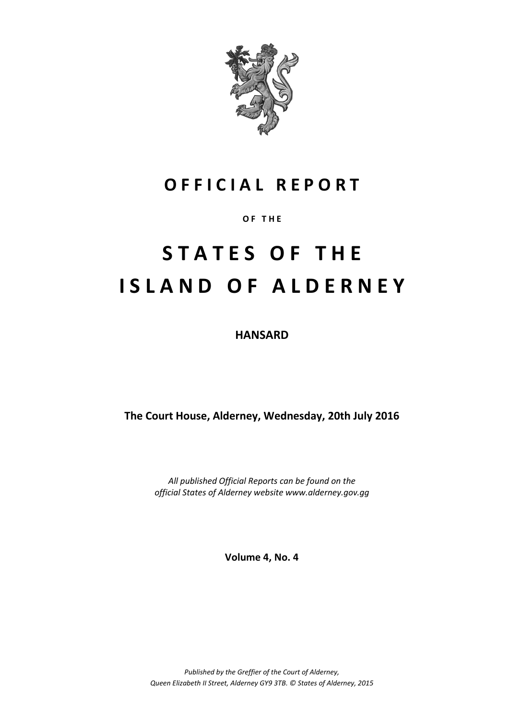

# **O F F I C I A L R E P O R T**

# **O F T H E**

# **S T A T E S O F T H E I S L A N D O F A L D E R N E Y**

**HANSARD**

**The Court House, Alderney, Wednesday, 20th July 2016**

*All published Official Reports can be found on the official States of Alderney website www.alderney.gov.gg*

**Volume 4, No. 4**

*Published by the Greffier of the Court of Alderney, Queen Elizabeth II Street, Alderney GY9 3TB. © States of Alderney, 2015*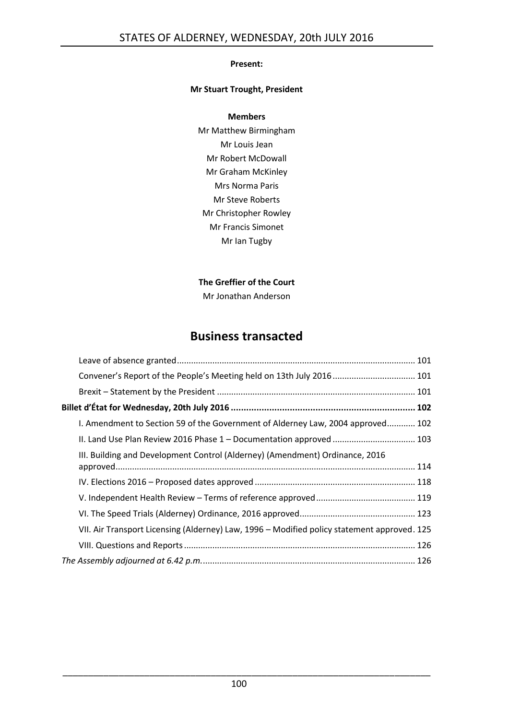#### **Present:**

#### **Mr Stuart Trought, President**

#### **Members**

Mr Matthew Birmingham Mr Louis Jean Mr Robert McDowall Mr Graham McKinley Mrs Norma Paris Mr Steve Roberts Mr Christopher Rowley Mr Francis Simonet Mr Ian Tugby

# **The Greffier of the Court**

Mr Jonathan Anderson

# **Business transacted**

| Convener's Report of the People's Meeting held on 13th July 2016  101                       |  |
|---------------------------------------------------------------------------------------------|--|
|                                                                                             |  |
| Billet d'État for Wednesday, 20th July 2016 ……………………………………………………………… 102                    |  |
| I. Amendment to Section 59 of the Government of Alderney Law, 2004 approved 102             |  |
| II. Land Use Plan Review 2016 Phase 1 - Documentation approved  103                         |  |
| III. Building and Development Control (Alderney) (Amendment) Ordinance, 2016                |  |
|                                                                                             |  |
|                                                                                             |  |
|                                                                                             |  |
| VII. Air Transport Licensing (Alderney) Law, 1996 - Modified policy statement approved. 125 |  |
|                                                                                             |  |
|                                                                                             |  |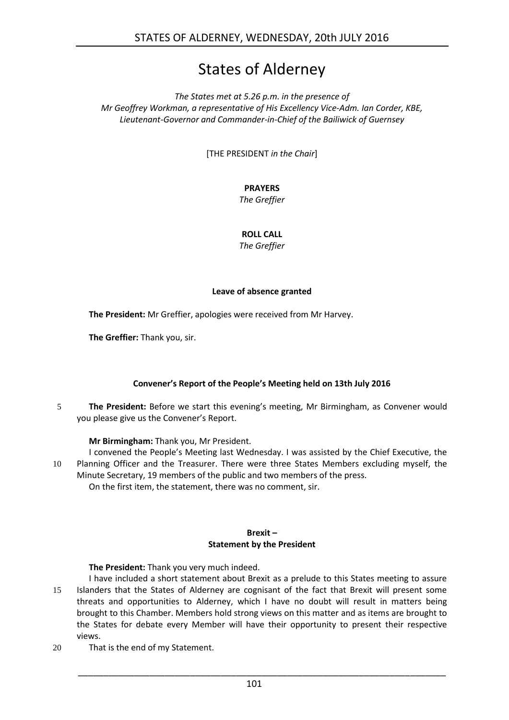# States of Alderney

*The States met at 5.26 p.m. in the presence of Mr Geoffrey Workman, a representative of His Excellency Vice-Adm. Ian Corder, KBE, Lieutenant-Governor and Commander-in-Chief of the Bailiwick of Guernsey*

[THE PRESIDENT *in the Chair*]

# **PRAYERS**

*The Greffier*

# **ROLL CALL**

*The Greffier*

#### **Leave of absence granted**

<span id="page-2-0"></span>**The President:** Mr Greffier, apologies were received from Mr Harvey.

**The Greffier:** Thank you, sir.

#### **Convener's Report of the People's Meeting held on 13th July 2016**

<span id="page-2-1"></span>5 **The President:** Before we start this evening's meeting, Mr Birmingham, as Convener would you please give us the Convener's Report.

#### **Mr Birmingham:** Thank you, Mr President.

I convened the People's Meeting last Wednesday. I was assisted by the Chief Executive, the 10 Planning Officer and the Treasurer. There were three States Members excluding myself, the Minute Secretary, 19 members of the public and two members of the press.

On the first item, the statement, there was no comment, sir.

#### **Brexit – Statement by the President**

<span id="page-2-2"></span>**The President:** Thank you very much indeed.

- I have included a short statement about Brexit as a prelude to this States meeting to assure 15 Islanders that the States of Alderney are cognisant of the fact that Brexit will present some threats and opportunities to Alderney, which I have no doubt will result in matters being brought to this Chamber. Members hold strong views on this matter and as items are brought to the States for debate every Member will have their opportunity to present their respective views.
- 20 That is the end of my Statement.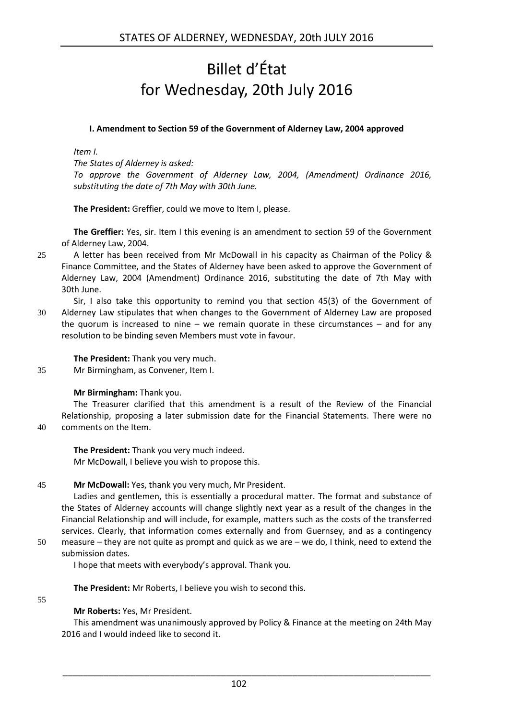# Billet d'État for Wednesday, 20th July 2016

#### <span id="page-3-0"></span>**I. Amendment to Section 59 of the Government of Alderney Law, 2004 approved**

<span id="page-3-1"></span>*Item I.*

*The States of Alderney is asked:*

*To approve the Government of Alderney Law, 2004, (Amendment) Ordinance 2016, substituting the date of 7th May with 30th June.*

**The President:** Greffier, could we move to Item I, please.

**The Greffier:** Yes, sir. Item I this evening is an amendment to section 59 of the Government of Alderney Law, 2004.

- 25 A letter has been received from Mr McDowall in his capacity as Chairman of the Policy & Finance Committee, and the States of Alderney have been asked to approve the Government of Alderney Law, 2004 (Amendment) Ordinance 2016, substituting the date of 7th May with 30th June.
- Sir, I also take this opportunity to remind you that section 45(3) of the Government of 30 Alderney Law stipulates that when changes to the Government of Alderney Law are proposed the quorum is increased to nine – we remain quorate in these circumstances – and for any resolution to be binding seven Members must vote in favour.

# **The President:** Thank you very much.

35 Mr Birmingham, as Convener, Item I.

#### **Mr Birmingham:** Thank you.

The Treasurer clarified that this amendment is a result of the Review of the Financial Relationship, proposing a later submission date for the Financial Statements. There were no 40 comments on the Item.

**The President:** Thank you very much indeed. Mr McDowall, I believe you wish to propose this.

45 **Mr McDowall:** Yes, thank you very much, Mr President.

Ladies and gentlemen, this is essentially a procedural matter. The format and substance of the States of Alderney accounts will change slightly next year as a result of the changes in the Financial Relationship and will include, for example, matters such as the costs of the transferred services. Clearly, that information comes externally and from Guernsey, and as a contingency 50 measure – they are not quite as prompt and quick as we are – we do, I think, need to extend the

submission dates.

I hope that meets with everybody's approval. Thank you.

**The President:** Mr Roberts, I believe you wish to second this.

55

**Mr Roberts:** Yes, Mr President.

This amendment was unanimously approved by Policy & Finance at the meeting on 24th May 2016 and I would indeed like to second it.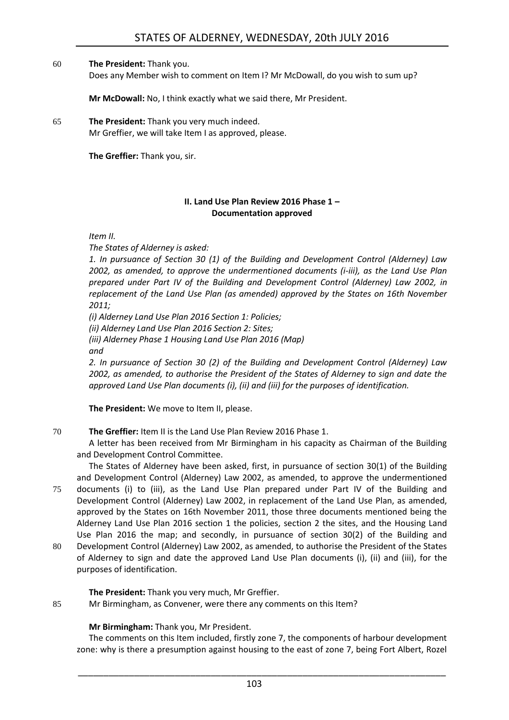#### 60 **The President:** Thank you.

Does any Member wish to comment on Item I? Mr McDowall, do you wish to sum up?

**Mr McDowall:** No, I think exactly what we said there, Mr President.

#### 65 **The President:** Thank you very much indeed. Mr Greffier, we will take Item I as approved, please.

**The Greffier:** Thank you, sir.

#### **II. Land Use Plan Review 2016 Phase 1 – Documentation approved**

<span id="page-4-0"></span>*Item II.*

*The States of Alderney is asked:*

*1. In pursuance of Section 30 (1) of the Building and Development Control (Alderney) Law 2002, as amended, to approve the undermentioned documents (i-iii), as the Land Use Plan prepared under Part IV of the Building and Development Control (Alderney) Law 2002, in replacement of the Land Use Plan (as amended) approved by the States on 16th November 2011;* 

*(i) Alderney Land Use Plan 2016 Section 1: Policies; (ii) Alderney Land Use Plan 2016 Section 2: Sites; (iii) Alderney Phase 1 Housing Land Use Plan 2016 (Map) and* 

*2. In pursuance of Section 30 (2) of the Building and Development Control (Alderney) Law 2002, as amended, to authorise the President of the States of Alderney to sign and date the approved Land Use Plan documents (i), (ii) and (iii) for the purposes of identification.* 

**The President:** We move to Item II, please.

#### 70 **The Greffier:** Item II is the Land Use Plan Review 2016 Phase 1.

A letter has been received from Mr Birmingham in his capacity as Chairman of the Building and Development Control Committee.

The States of Alderney have been asked, first, in pursuance of section 30(1) of the Building and Development Control (Alderney) Law 2002, as amended, to approve the undermentioned 75 documents (i) to (iii), as the Land Use Plan prepared under Part IV of the Building and Development Control (Alderney) Law 2002, in replacement of the Land Use Plan, as amended, approved by the States on 16th November 2011, those three documents mentioned being the Alderney Land Use Plan 2016 section 1 the policies, section 2 the sites, and the Housing Land Use Plan 2016 the map; and secondly, in pursuance of section 30(2) of the Building and 80 Development Control (Alderney) Law 2002, as amended, to authorise the President of the States of Alderney to sign and date the approved Land Use Plan documents (i), (ii) and (iii), for the purposes of identification.

#### **The President:** Thank you very much, Mr Greffier.

85 Mr Birmingham, as Convener, were there any comments on this Item?

#### **Mr Birmingham:** Thank you, Mr President.

The comments on this Item included, firstly zone 7, the components of harbour development zone: why is there a presumption against housing to the east of zone 7, being Fort Albert, Rozel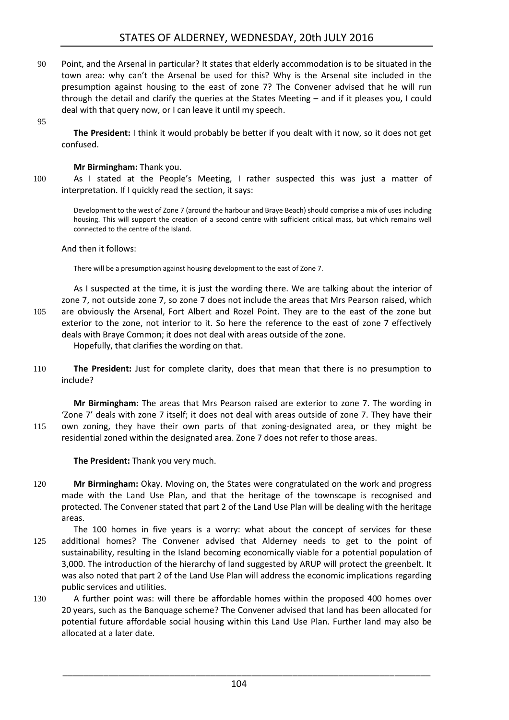- 90 Point, and the Arsenal in particular? It states that elderly accommodation is to be situated in the town area: why can't the Arsenal be used for this? Why is the Arsenal site included in the presumption against housing to the east of zone 7? The Convener advised that he will run through the detail and clarify the queries at the States Meeting – and if it pleases you, I could deal with that query now, or I can leave it until my speech.
- 95

**The President:** I think it would probably be better if you dealt with it now, so it does not get confused.

#### **Mr Birmingham:** Thank you.

100 As I stated at the People's Meeting, I rather suspected this was just a matter of interpretation. If I quickly read the section, it says:

Development to the west of Zone 7 (around the harbour and Braye Beach) should comprise a mix of uses including housing. This will support the creation of a second centre with sufficient critical mass, but which remains well connected to the centre of the Island.

#### And then it follows:

There will be a presumption against housing development to the east of Zone 7.

As I suspected at the time, it is just the wording there. We are talking about the interior of zone 7, not outside zone 7, so zone 7 does not include the areas that Mrs Pearson raised, which 105 are obviously the Arsenal, Fort Albert and Rozel Point. They are to the east of the zone but exterior to the zone, not interior to it. So here the reference to the east of zone 7 effectively deals with Braye Common; it does not deal with areas outside of the zone.

Hopefully, that clarifies the wording on that.

110 **The President:** Just for complete clarity, does that mean that there is no presumption to include?

**Mr Birmingham:** The areas that Mrs Pearson raised are exterior to zone 7. The wording in 'Zone 7' deals with zone 7 itself; it does not deal with areas outside of zone 7. They have their 115 own zoning, they have their own parts of that zoning-designated area, or they might be residential zoned within the designated area. Zone 7 does not refer to those areas.

**The President:** Thank you very much.

- 120 **Mr Birmingham:** Okay. Moving on, the States were congratulated on the work and progress made with the Land Use Plan, and that the heritage of the townscape is recognised and protected. The Convener stated that part 2 of the Land Use Plan will be dealing with the heritage areas.
- The 100 homes in five years is a worry: what about the concept of services for these 125 additional homes? The Convener advised that Alderney needs to get to the point of sustainability, resulting in the Island becoming economically viable for a potential population of 3,000. The introduction of the hierarchy of land suggested by ARUP will protect the greenbelt. It was also noted that part 2 of the Land Use Plan will address the economic implications regarding public services and utilities.
- 130 A further point was: will there be affordable homes within the proposed 400 homes over 20 years, such as the Banquage scheme? The Convener advised that land has been allocated for potential future affordable social housing within this Land Use Plan. Further land may also be allocated at a later date.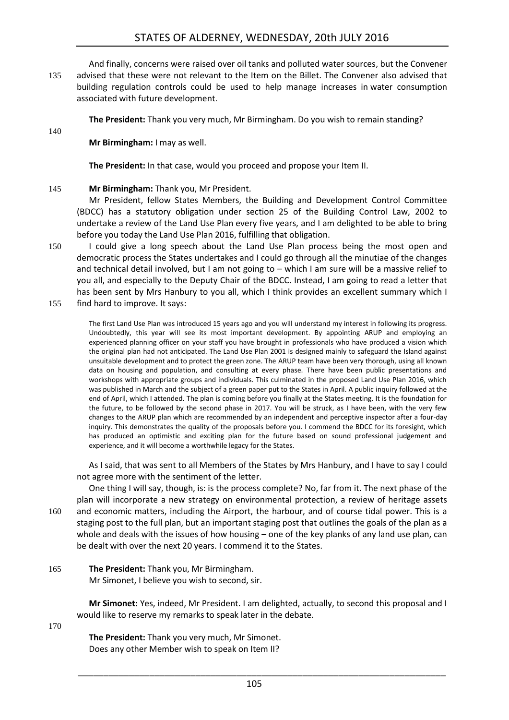# STATES OF ALDERNEY, WEDNESDAY, 20th JULY 2016

And finally, concerns were raised over oil tanks and polluted water sources, but the Convener 135 advised that these were not relevant to the Item on the Billet. The Convener also advised that building regulation controls could be used to help manage increases in water consumption associated with future development.

**The President:** Thank you very much, Mr Birmingham. Do you wish to remain standing?

140

**Mr Birmingham:** I may as well.

**The President:** In that case, would you proceed and propose your Item II.

#### 145 **Mr Birmingham:** Thank you, Mr President.

Mr President, fellow States Members, the Building and Development Control Committee (BDCC) has a statutory obligation under section 25 of the Building Control Law, 2002 to undertake a review of the Land Use Plan every five years, and I am delighted to be able to bring before you today the Land Use Plan 2016, fulfilling that obligation.

- 150 I could give a long speech about the Land Use Plan process being the most open and democratic process the States undertakes and I could go through all the minutiae of the changes and technical detail involved, but I am not going to - which I am sure will be a massive relief to you all, and especially to the Deputy Chair of the BDCC. Instead, I am going to read a letter that has been sent by Mrs Hanbury to you all, which I think provides an excellent summary which I
- 155 find hard to improve. It says:

The first Land Use Plan was introduced 15 years ago and you will understand my interest in following its progress. Undoubtedly, this year will see its most important development. By appointing ARUP and employing an experienced planning officer on your staff you have brought in professionals who have produced a vision which the original plan had not anticipated. The Land Use Plan 2001 is designed mainly to safeguard the Island against unsuitable development and to protect the green zone. The ARUP team have been very thorough, using all known data on housing and population, and consulting at every phase. There have been public presentations and workshops with appropriate groups and individuals. This culminated in the proposed Land Use Plan 2016, which was published in March and the subject of a green paper put to the States in April. A public inquiry followed at the end of April, which I attended. The plan is coming before you finally at the States meeting. It is the foundation for the future, to be followed by the second phase in 2017. You will be struck, as I have been, with the very few changes to the ARUP plan which are recommended by an independent and perceptive inspector after a four-day inquiry. This demonstrates the quality of the proposals before you. I commend the BDCC for its foresight, which has produced an optimistic and exciting plan for the future based on sound professional judgement and experience, and it will become a worthwhile legacy for the States.

As I said, that was sent to all Members of the States by Mrs Hanbury, and I have to say I could not agree more with the sentiment of the letter.

One thing I will say, though, is: is the process complete? No, far from it. The next phase of the plan will incorporate a new strategy on environmental protection, a review of heritage assets 160 and economic matters, including the Airport, the harbour, and of course tidal power. This is a staging post to the full plan, but an important staging post that outlines the goals of the plan as a whole and deals with the issues of how housing – one of the key planks of any land use plan, can be dealt with over the next 20 years. I commend it to the States.

165 **The President:** Thank you, Mr Birmingham. Mr Simonet, I believe you wish to second, sir.

> **Mr Simonet:** Yes, indeed, Mr President. I am delighted, actually, to second this proposal and I would like to reserve my remarks to speak later in the debate.

170

**The President:** Thank you very much, Mr Simonet. Does any other Member wish to speak on Item II?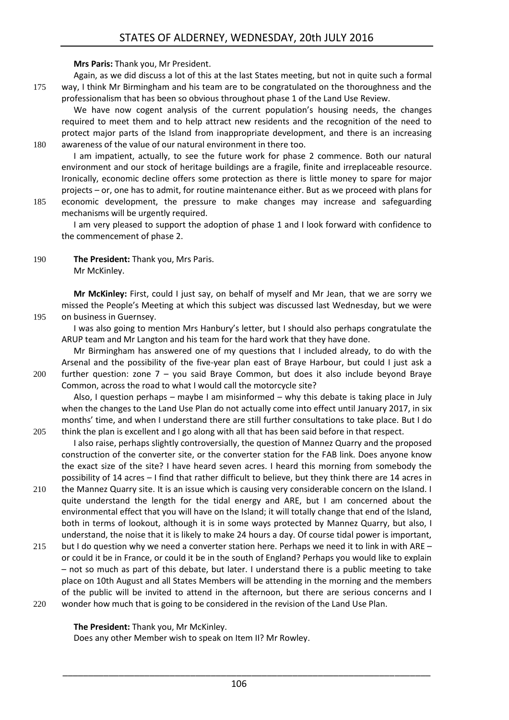**Mrs Paris:** Thank you, Mr President.

Again, as we did discuss a lot of this at the last States meeting, but not in quite such a formal 175 way, I think Mr Birmingham and his team are to be congratulated on the thoroughness and the professionalism that has been so obvious throughout phase 1 of the Land Use Review.

We have now cogent analysis of the current population's housing needs, the changes required to meet them and to help attract new residents and the recognition of the need to protect major parts of the Island from inappropriate development, and there is an increasing 180 awareness of the value of our natural environment in there too.

I am impatient, actually, to see the future work for phase 2 commence. Both our natural environment and our stock of heritage buildings are a fragile, finite and irreplaceable resource. Ironically, economic decline offers some protection as there is little money to spare for major projects – or, one has to admit, for routine maintenance either. But as we proceed with plans for 185 economic development, the pressure to make changes may increase and safeguarding

I am very pleased to support the adoption of phase 1 and I look forward with confidence to the commencement of phase 2.

190 **The President:** Thank you, Mrs Paris. Mr McKinley.

mechanisms will be urgently required.

**Mr McKinley:** First, could I just say, on behalf of myself and Mr Jean, that we are sorry we missed the People's Meeting at which this subject was discussed last Wednesday, but we were 195 on business in Guernsey.

I was also going to mention Mrs Hanbury's letter, but I should also perhaps congratulate the ARUP team and Mr Langton and his team for the hard work that they have done.

Mr Birmingham has answered one of my questions that I included already, to do with the Arsenal and the possibility of the five-year plan east of Braye Harbour, but could I just ask a 200 further question: zone 7 – you said Braye Common, but does it also include beyond Braye Common, across the road to what I would call the motorcycle site?

Also, I question perhaps – maybe I am misinformed – why this debate is taking place in July when the changes to the Land Use Plan do not actually come into effect until January 2017, in six months' time, and when I understand there are still further consultations to take place. But I do 205 think the plan is excellent and I go along with all that has been said before in that respect.

- I also raise, perhaps slightly controversially, the question of Mannez Quarry and the proposed construction of the converter site, or the converter station for the FAB link. Does anyone know the exact size of the site? I have heard seven acres. I heard this morning from somebody the possibility of 14 acres – I find that rather difficult to believe, but they think there are 14 acres in
- 210 the Mannez Quarry site. It is an issue which is causing very considerable concern on the Island. I quite understand the length for the tidal energy and ARE, but I am concerned about the environmental effect that you will have on the Island; it will totally change that end of the Island, both in terms of lookout, although it is in some ways protected by Mannez Quarry, but also, I understand, the noise that it is likely to make 24 hours a day. Of course tidal power is important,
- 215 but I do question why we need a converter station here. Perhaps we need it to link in with ARE or could it be in France, or could it be in the south of England? Perhaps you would like to explain – not so much as part of this debate, but later. I understand there is a public meeting to take place on 10th August and all States Members will be attending in the morning and the members of the public will be invited to attend in the afternoon, but there are serious concerns and I 220 wonder how much that is going to be considered in the revision of the Land Use Plan.

**The President:** Thank you, Mr McKinley.

Does any other Member wish to speak on Item II? Mr Rowley.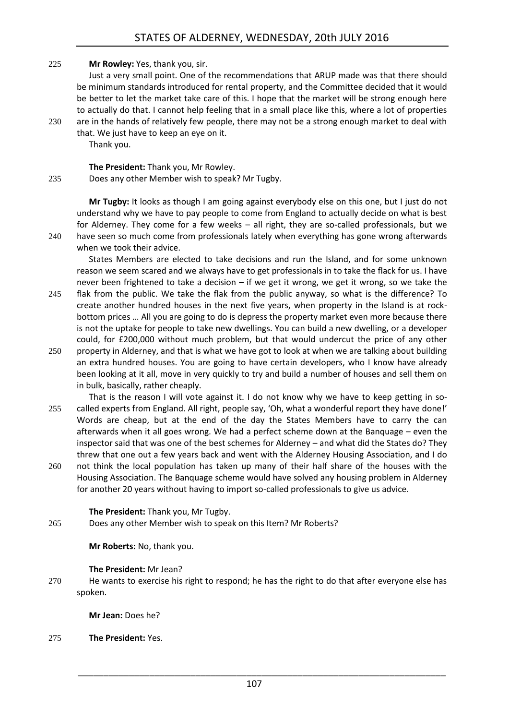#### 225 **Mr Rowley:** Yes, thank you, sir.

Just a very small point. One of the recommendations that ARUP made was that there should be minimum standards introduced for rental property, and the Committee decided that it would be better to let the market take care of this. I hope that the market will be strong enough here to actually do that. I cannot help feeling that in a small place like this, where a lot of properties 230 are in the hands of relatively few people, there may not be a strong enough market to deal with

that. We just have to keep an eye on it. Thank you.

**The President:** Thank you, Mr Rowley.

235 Does any other Member wish to speak? Mr Tugby.

**Mr Tugby:** It looks as though I am going against everybody else on this one, but I just do not understand why we have to pay people to come from England to actually decide on what is best for Alderney. They come for a few weeks – all right, they are so-called professionals, but we 240 have seen so much come from professionals lately when everything has gone wrong afterwards when we took their advice.

States Members are elected to take decisions and run the Island, and for some unknown reason we seem scared and we always have to get professionals in to take the flack for us. I have never been frightened to take a decision – if we get it wrong, we get it wrong, so we take the

- 245 flak from the public. We take the flak from the public anyway, so what is the difference? To create another hundred houses in the next five years, when property in the Island is at rockbottom prices … All you are going to do is depress the property market even more because there is not the uptake for people to take new dwellings. You can build a new dwelling, or a developer could, for £200,000 without much problem, but that would undercut the price of any other
- 250 property in Alderney, and that is what we have got to look at when we are talking about building an extra hundred houses. You are going to have certain developers, who I know have already been looking at it all, move in very quickly to try and build a number of houses and sell them on in bulk, basically, rather cheaply.

That is the reason I will vote against it. I do not know why we have to keep getting in so-255 called experts from England. All right, people say, 'Oh, what a wonderful report they have done!' Words are cheap, but at the end of the day the States Members have to carry the can afterwards when it all goes wrong. We had a perfect scheme down at the Banquage – even the inspector said that was one of the best schemes for Alderney – and what did the States do? They threw that one out a few years back and went with the Alderney Housing Association, and I do

260 not think the local population has taken up many of their half share of the houses with the Housing Association. The Banquage scheme would have solved any housing problem in Alderney for another 20 years without having to import so-called professionals to give us advice.

#### **The President:** Thank you, Mr Tugby.

265 Does any other Member wish to speak on this Item? Mr Roberts?

**Mr Roberts:** No, thank you.

#### **The President:** Mr Jean?

270 He wants to exercise his right to respond; he has the right to do that after everyone else has spoken.

**Mr Jean:** Does he?

#### 275 **The President:** Yes.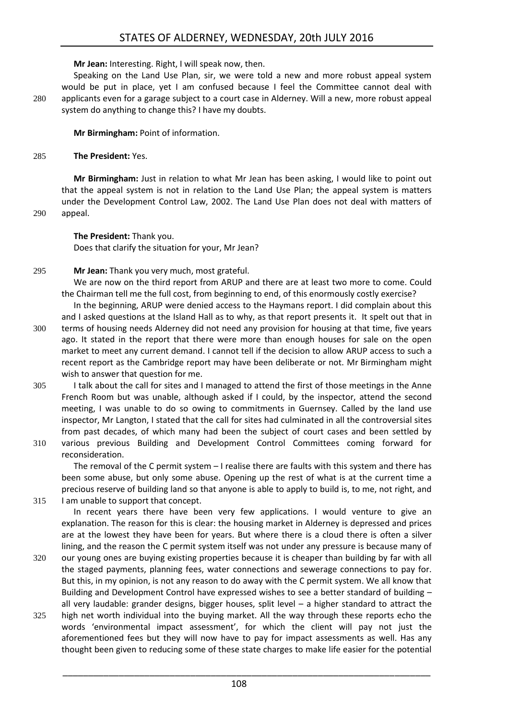**Mr Jean:** Interesting. Right, I will speak now, then.

Speaking on the Land Use Plan, sir, we were told a new and more robust appeal system would be put in place, yet I am confused because I feel the Committee cannot deal with 280 applicants even for a garage subject to a court case in Alderney. Will a new, more robust appeal system do anything to change this? I have my doubts.

#### 285 **The President:** Yes.

**Mr Birmingham:** Just in relation to what Mr Jean has been asking, I would like to point out that the appeal system is not in relation to the Land Use Plan; the appeal system is matters under the Development Control Law, 2002. The Land Use Plan does not deal with matters of 290 appeal.

**The President:** Thank you.

Does that clarify the situation for your, Mr Jean?

295 **Mr Jean:** Thank you very much, most grateful.

We are now on the third report from ARUP and there are at least two more to come. Could the Chairman tell me the full cost, from beginning to end, of this enormously costly exercise?

In the beginning, ARUP were denied access to the Haymans report. I did complain about this and I asked questions at the Island Hall as to why, as that report presents it. It spelt out that in

- 300 terms of housing needs Alderney did not need any provision for housing at that time, five years ago. It stated in the report that there were more than enough houses for sale on the open market to meet any current demand. I cannot tell if the decision to allow ARUP access to such a recent report as the Cambridge report may have been deliberate or not. Mr Birmingham might wish to answer that question for me.
- 305 I talk about the call for sites and I managed to attend the first of those meetings in the Anne French Room but was unable, although asked if I could, by the inspector, attend the second meeting, I was unable to do so owing to commitments in Guernsey. Called by the land use inspector, Mr Langton, I stated that the call for sites had culminated in all the controversial sites from past decades, of which many had been the subject of court cases and been settled by
- 310 various previous Building and Development Control Committees coming forward for reconsideration.

The removal of the C permit system – I realise there are faults with this system and there has been some abuse, but only some abuse. Opening up the rest of what is at the current time a precious reserve of building land so that anyone is able to apply to build is, to me, not right, and 315 I am unable to support that concept.

In recent years there have been very few applications. I would venture to give an explanation. The reason for this is clear: the housing market in Alderney is depressed and prices are at the lowest they have been for years. But where there is a cloud there is often a silver

- lining, and the reason the C permit system itself was not under any pressure is because many of 320 our young ones are buying existing properties because it is cheaper than building by far with all the staged payments, planning fees, water connections and sewerage connections to pay for. But this, in my opinion, is not any reason to do away with the C permit system. We all know that Building and Development Control have expressed wishes to see a better standard of building – all very laudable: grander designs, bigger houses, split level – a higher standard to attract the
- 325 high net worth individual into the buying market. All the way through these reports echo the words 'environmental impact assessment', for which the client will pay not just the aforementioned fees but they will now have to pay for impact assessments as well. Has any thought been given to reducing some of these state charges to make life easier for the potential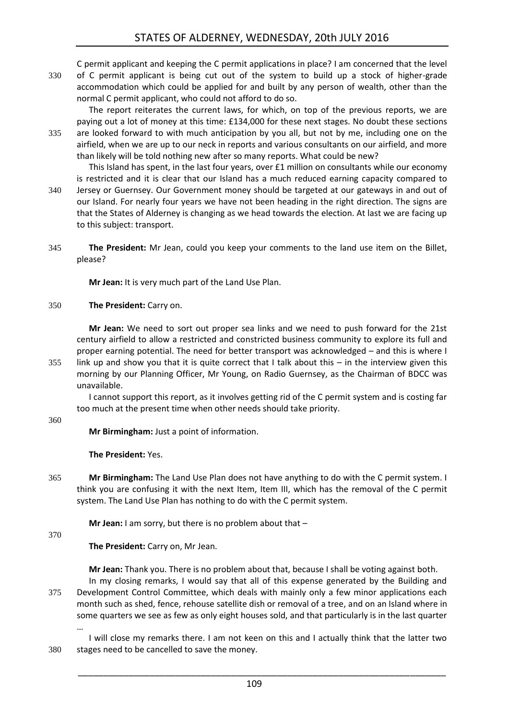C permit applicant and keeping the C permit applications in place? I am concerned that the level

330 of C permit applicant is being cut out of the system to build up a stock of higher-grade accommodation which could be applied for and built by any person of wealth, other than the normal C permit applicant, who could not afford to do so.

The report reiterates the current laws, for which, on top of the previous reports, we are paying out a lot of money at this time: £134,000 for these next stages. No doubt these sections 335 are looked forward to with much anticipation by you all, but not by me, including one on the airfield, when we are up to our neck in reports and various consultants on our airfield, and more than likely will be told nothing new after so many reports. What could be new?

This Island has spent, in the last four years, over £1 million on consultants while our economy is restricted and it is clear that our Island has a much reduced earning capacity compared to 340 Jersey or Guernsey. Our Government money should be targeted at our gateways in and out of our Island. For nearly four years we have not been heading in the right direction. The signs are that the States of Alderney is changing as we head towards the election. At last we are facing up to this subject: transport.

345 **The President:** Mr Jean, could you keep your comments to the land use item on the Billet, please?

**Mr Jean:** It is very much part of the Land Use Plan.

#### 350 **The President:** Carry on.

**Mr Jean:** We need to sort out proper sea links and we need to push forward for the 21st century airfield to allow a restricted and constricted business community to explore its full and proper earning potential. The need for better transport was acknowledged – and this is where I 355 link up and show you that it is quite correct that I talk about this – in the interview given this morning by our Planning Officer, Mr Young, on Radio Guernsey, as the Chairman of BDCC was unavailable.

I cannot support this report, as it involves getting rid of the C permit system and is costing far too much at the present time when other needs should take priority.

360

**Mr Birmingham:** Just a point of information.

**The President:** Yes.

365 **Mr Birmingham:** The Land Use Plan does not have anything to do with the C permit system. I think you are confusing it with the next Item, Item III, which has the removal of the C permit system. The Land Use Plan has nothing to do with the C permit system.

**Mr Jean:** I am sorry, but there is no problem about that  $-$ 

370

**The President:** Carry on, Mr Jean.

**Mr Jean:** Thank you. There is no problem about that, because I shall be voting against both.

In my closing remarks, I would say that all of this expense generated by the Building and 375 Development Control Committee, which deals with mainly only a few minor applications each month such as shed, fence, rehouse satellite dish or removal of a tree, and on an Island where in some quarters we see as few as only eight houses sold, and that particularly is in the last quarter …

I will close my remarks there. I am not keen on this and I actually think that the latter two 380 stages need to be cancelled to save the money.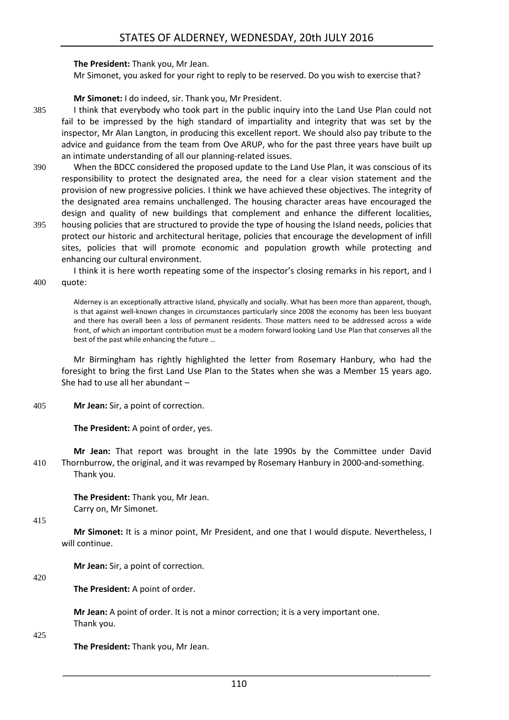#### **The President:** Thank you, Mr Jean.

Mr Simonet, you asked for your right to reply to be reserved. Do you wish to exercise that?

#### **Mr Simonet:** I do indeed, sir. Thank you, Mr President.

- 385 I think that everybody who took part in the public inquiry into the Land Use Plan could not fail to be impressed by the high standard of impartiality and integrity that was set by the inspector, Mr Alan Langton, in producing this excellent report. We should also pay tribute to the advice and guidance from the team from Ove ARUP, who for the past three years have built up an intimate understanding of all our planning-related issues.
- 390 When the BDCC considered the proposed update to the Land Use Plan, it was conscious of its responsibility to protect the designated area, the need for a clear vision statement and the provision of new progressive policies. I think we have achieved these objectives. The integrity of the designated area remains unchallenged. The housing character areas have encouraged the design and quality of new buildings that complement and enhance the different localities,
- 395 housing policies that are structured to provide the type of housing the Island needs, policies that protect our historic and architectural heritage, policies that encourage the development of infill sites, policies that will promote economic and population growth while protecting and enhancing our cultural environment.
- I think it is here worth repeating some of the inspector's closing remarks in his report, and I 400 quote:

Alderney is an exceptionally attractive Island, physically and socially. What has been more than apparent, though, is that against well-known changes in circumstances particularly since 2008 the economy has been less buoyant and there has overall been a loss of permanent residents. Those matters need to be addressed across a wide front, of which an important contribution must be a modern forward looking Land Use Plan that conserves all the best of the past while enhancing the future …

Mr Birmingham has rightly highlighted the letter from Rosemary Hanbury, who had the foresight to bring the first Land Use Plan to the States when she was a Member 15 years ago. She had to use all her abundant –

405 **Mr Jean:** Sir, a point of correction.

**The President:** A point of order, yes.

**Mr Jean:** That report was brought in the late 1990s by the Committee under David 410 Thornburrow, the original, and it was revamped by Rosemary Hanbury in 2000-and-something. Thank you.

> **The President:** Thank you, Mr Jean. Carry on, Mr Simonet.

415

**Mr Simonet:** It is a minor point, Mr President, and one that I would dispute. Nevertheless, I will continue.

**Mr Jean:** Sir, a point of correction.

420

**The President:** A point of order.

**Mr Jean:** A point of order. It is not a minor correction; it is a very important one. Thank you.

425

**The President:** Thank you, Mr Jean.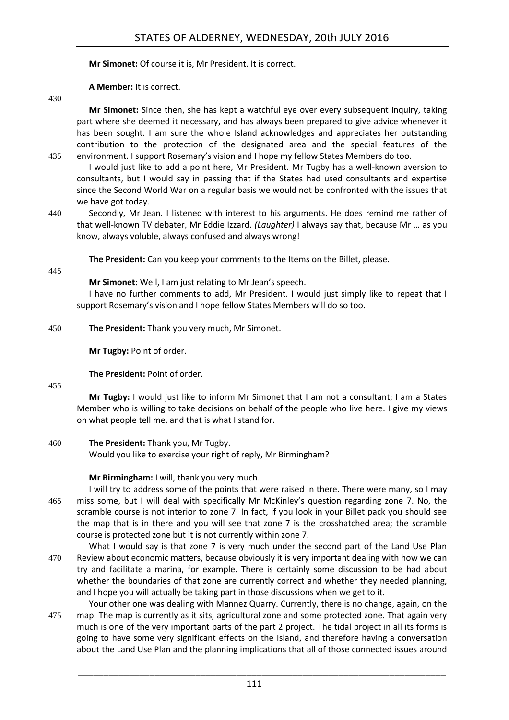**Mr Simonet:** Of course it is, Mr President. It is correct.

**A Member:** It is correct.

430

**Mr Simonet:** Since then, she has kept a watchful eye over every subsequent inquiry, taking part where she deemed it necessary, and has always been prepared to give advice whenever it has been sought. I am sure the whole Island acknowledges and appreciates her outstanding contribution to the protection of the designated area and the special features of the 435 environment. I support Rosemary's vision and I hope my fellow States Members do too.

I would just like to add a point here, Mr President. Mr Tugby has a well-known aversion to consultants, but I would say in passing that if the States had used consultants and expertise since the Second World War on a regular basis we would not be confronted with the issues that we have got today.

440 Secondly, Mr Jean. I listened with interest to his arguments. He does remind me rather of that well-known TV debater, Mr Eddie Izzard. *(Laughter)* I always say that, because Mr … as you know, always voluble, always confused and always wrong!

**The President:** Can you keep your comments to the Items on the Billet, please.

445

**Mr Simonet:** Well, I am just relating to Mr Jean's speech.

I have no further comments to add, Mr President. I would just simply like to repeat that I support Rosemary's vision and I hope fellow States Members will do so too.

450 **The President:** Thank you very much, Mr Simonet.

**Mr Tugby:** Point of order.

**The President:** Point of order.

455

**Mr Tugby:** I would just like to inform Mr Simonet that I am not a consultant; I am a States Member who is willing to take decisions on behalf of the people who live here. I give my views on what people tell me, and that is what I stand for.

# 460 **The President:** Thank you, Mr Tugby.

Would you like to exercise your right of reply, Mr Birmingham?

**Mr Birmingham:** I will, thank you very much.

I will try to address some of the points that were raised in there. There were many, so I may 465 miss some, but I will deal with specifically Mr McKinley's question regarding zone 7. No, the scramble course is not interior to zone 7. In fact, if you look in your Billet pack you should see the map that is in there and you will see that zone 7 is the crosshatched area; the scramble course is protected zone but it is not currently within zone 7.

- What I would say is that zone 7 is very much under the second part of the Land Use Plan 470 Review about economic matters, because obviously it is very important dealing with how we can try and facilitate a marina, for example. There is certainly some discussion to be had about whether the boundaries of that zone are currently correct and whether they needed planning, and I hope you will actually be taking part in those discussions when we get to it.
- Your other one was dealing with Mannez Quarry. Currently, there is no change, again, on the 475 map. The map is currently as it sits, agricultural zone and some protected zone. That again very much is one of the very important parts of the part 2 project. The tidal project in all its forms is going to have some very significant effects on the Island, and therefore having a conversation about the Land Use Plan and the planning implications that all of those connected issues around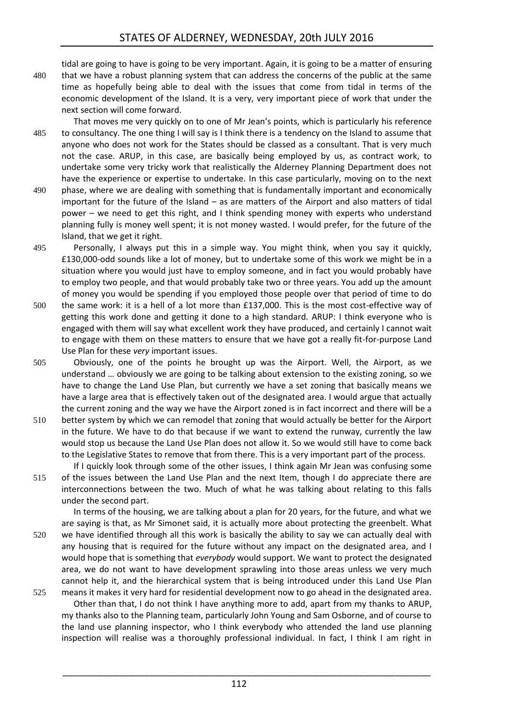tidal are going to have is going to be very important. Again, it is going to be a matter of ensuring

- 480 that we have a robust planning system that can address the concerns of the public at the same time as hopefully being able to deal with the issues that come from tidal in terms of the economic development of the Island. It is a very, very important piece of work that under the next section will come forward.
- That moves me very quickly on to one of Mr Jean's points, which is particularly his reference 485 to consultancy. The one thing I will say is I think there is a tendency on the Island to assume that anyone who does not work for the States should be classed as a consultant. That is very much not the case. ARUP, in this case, are basically being employed by us, as contract work, to undertake some very tricky work that realistically the Alderney Planning Department does not have the experience or expertise to undertake. In this case particularly, moving on to the next
- 490 phase, where we are dealing with something that is fundamentally important and economically important for the future of the Island – as are matters of the Airport and also matters of tidal power – we need to get this right, and I think spending money with experts who understand planning fully is money well spent; it is not money wasted. I would prefer, for the future of the Island, that we get it right.
- 495 Personally, I always put this in a simple way. You might think, when you say it quickly, £130,000-odd sounds like a lot of money, but to undertake some of this work we might be in a situation where you would just have to employ someone, and in fact you would probably have to employ two people, and that would probably take two or three years. You add up the amount of money you would be spending if you employed those people over that period of time to do
- 500 the same work: it is a hell of a lot more than £137,000. This is the most cost-effective way of getting this work done and getting it done to a high standard. ARUP: I think everyone who is engaged with them will say what excellent work they have produced, and certainly I cannot wait to engage with them on these matters to ensure that we have got a really fit-for-purpose Land Use Plan for these *very* important issues.
- 505 Obviously, one of the points he brought up was the Airport. Well, the Airport, as we understand … obviously we are going to be talking about extension to the existing zoning, so we have to change the Land Use Plan, but currently we have a set zoning that basically means we have a large area that is effectively taken out of the designated area. I would argue that actually the current zoning and the way we have the Airport zoned is in fact incorrect and there will be a
- 510 better system by which we can remodel that zoning that would actually be better for the Airport in the future. We have to do that because if we want to extend the runway, currently the law would stop us because the Land Use Plan does not allow it. So we would still have to come back to the Legislative States to remove that from there. This is a very important part of the process.
- If I quickly look through some of the other issues, I think again Mr Jean was confusing some 515 of the issues between the Land Use Plan and the next Item, though I do appreciate there are interconnections between the two. Much of what he was talking about relating to this falls under the second part.
- In terms of the housing, we are talking about a plan for 20 years, for the future, and what we are saying is that, as Mr Simonet said, it is actually more about protecting the greenbelt. What 520 we have identified through all this work is basically the ability to say we can actually deal with any housing that is required for the future without any impact on the designated area, and I would hope that is something that *everybody* would support. We want to protect the designated area, we do not want to have development sprawling into those areas unless we very much cannot help it, and the hierarchical system that is being introduced under this Land Use Plan 525 means it makes it very hard for residential development now to go ahead in the designated area.

Other than that, I do not think I have anything more to add, apart from my thanks to ARUP, my thanks also to the Planning team, particularly John Young and Sam Osborne, and of course to the land use planning inspector, who I think everybody who attended the land use planning inspection will realise was a thoroughly professional individual. In fact, I think I am right in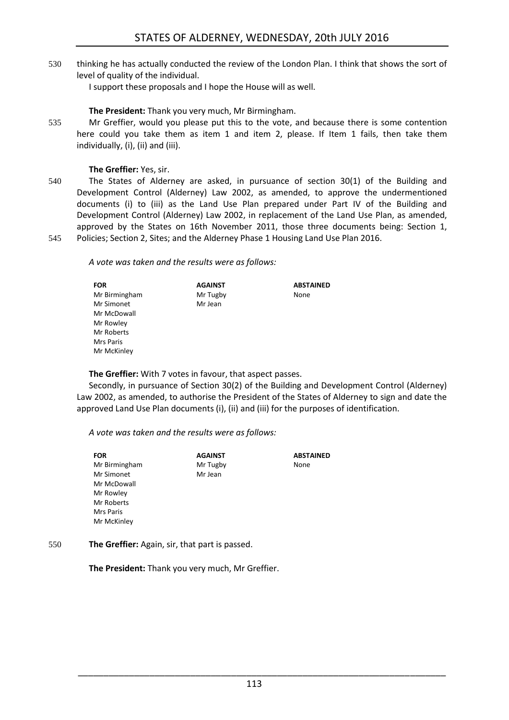530 thinking he has actually conducted the review of the London Plan. I think that shows the sort of level of quality of the individual.

I support these proposals and I hope the House will as well.

#### **The President:** Thank you very much, Mr Birmingham.

535 Mr Greffier, would you please put this to the vote, and because there is some contention here could you take them as item 1 and item 2, please. If Item 1 fails, then take them individually, (i), (ii) and (iii).

#### **The Greffier:** Yes, sir.

540 The States of Alderney are asked, in pursuance of section 30(1) of the Building and Development Control (Alderney) Law 2002, as amended, to approve the undermentioned documents (i) to (iii) as the Land Use Plan prepared under Part IV of the Building and Development Control (Alderney) Law 2002, in replacement of the Land Use Plan, as amended, approved by the States on 16th November 2011, those three documents being: Section 1, 545 Policies; Section 2, Sites; and the Alderney Phase 1 Housing Land Use Plan 2016.

*A vote was taken and the results were as follows:*

| <b>FOR</b>    | <b>AGAINST</b> | <b>ABSTAINED</b> |
|---------------|----------------|------------------|
| Mr Birmingham | Mr Tugby       | None             |
| Mr Simonet    | Mr Jean        |                  |
| Mr McDowall   |                |                  |
| Mr Rowley     |                |                  |
| Mr Roberts    |                |                  |
| Mrs Paris     |                |                  |
| Mr McKinley   |                |                  |

**The Greffier:** With 7 votes in favour, that aspect passes.

Secondly, in pursuance of Section 30(2) of the Building and Development Control (Alderney) Law 2002, as amended, to authorise the President of the States of Alderney to sign and date the approved Land Use Plan documents (i), (ii) and (iii) for the purposes of identification.

*A vote was taken and the results were as follows:*

| <b>FOR</b>    | <b>AGAINST</b> | <b>ABSTAINED</b> |
|---------------|----------------|------------------|
| Mr Birmingham | Mr Tugby       | None             |
| Mr Simonet    | Mr Jean        |                  |
| Mr McDowall   |                |                  |
| Mr Rowley     |                |                  |
| Mr Roberts    |                |                  |
| Mrs Paris     |                |                  |
| Mr McKinley   |                |                  |
|               |                |                  |

<sup>550</sup> **The Greffier:** Again, sir, that part is passed.

**The President:** Thank you very much, Mr Greffier.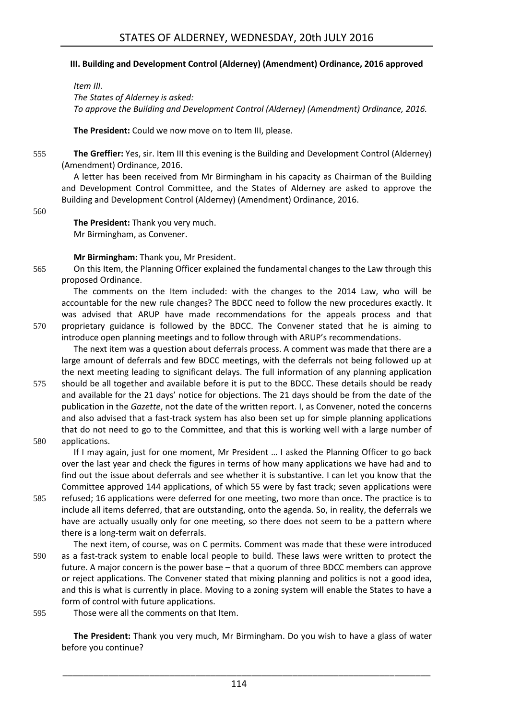#### <span id="page-15-0"></span>**III. Building and Development Control (Alderney) (Amendment) Ordinance, 2016 approved**

*Item III. The States of Alderney is asked: To approve the Building and Development Control (Alderney) (Amendment) Ordinance, 2016.*

**The President:** Could we now move on to Item III, please.

555 **The Greffier:** Yes, sir. Item III this evening is the Building and Development Control (Alderney) (Amendment) Ordinance, 2016.

A letter has been received from Mr Birmingham in his capacity as Chairman of the Building and Development Control Committee, and the States of Alderney are asked to approve the Building and Development Control (Alderney) (Amendment) Ordinance, 2016.

560

**The President:** Thank you very much. Mr Birmingham, as Convener.

#### **Mr Birmingham:** Thank you, Mr President.

565 On this Item, the Planning Officer explained the fundamental changes to the Law through this proposed Ordinance.

The comments on the Item included: with the changes to the 2014 Law, who will be accountable for the new rule changes? The BDCC need to follow the new procedures exactly. It was advised that ARUP have made recommendations for the appeals process and that 570 proprietary guidance is followed by the BDCC. The Convener stated that he is aiming to

introduce open planning meetings and to follow through with ARUP's recommendations.

The next item was a question about deferrals process. A comment was made that there are a large amount of deferrals and few BDCC meetings, with the deferrals not being followed up at the next meeting leading to significant delays. The full information of any planning application 575 should be all together and available before it is put to the BDCC. These details should be ready

- and available for the 21 days' notice for objections. The 21 days should be from the date of the publication in the *Gazette*, not the date of the written report. I, as Convener, noted the concerns and also advised that a fast-track system has also been set up for simple planning applications that do not need to go to the Committee, and that this is working well with a large number of 580 applications.
- 

If I may again, just for one moment, Mr President … I asked the Planning Officer to go back over the last year and check the figures in terms of how many applications we have had and to find out the issue about deferrals and see whether it is substantive. I can let you know that the Committee approved 144 applications, of which 55 were by fast track; seven applications were

585 refused; 16 applications were deferred for one meeting, two more than once. The practice is to include all items deferred, that are outstanding, onto the agenda. So, in reality, the deferrals we have are actually usually only for one meeting, so there does not seem to be a pattern where there is a long-term wait on deferrals.

The next item, of course, was on C permits. Comment was made that these were introduced 590 as a fast-track system to enable local people to build. These laws were written to protect the future. A major concern is the power base – that a quorum of three BDCC members can approve or reject applications. The Convener stated that mixing planning and politics is not a good idea, and this is what is currently in place. Moving to a zoning system will enable the States to have a form of control with future applications.

595 Those were all the comments on that Item.

**The President:** Thank you very much, Mr Birmingham. Do you wish to have a glass of water before you continue?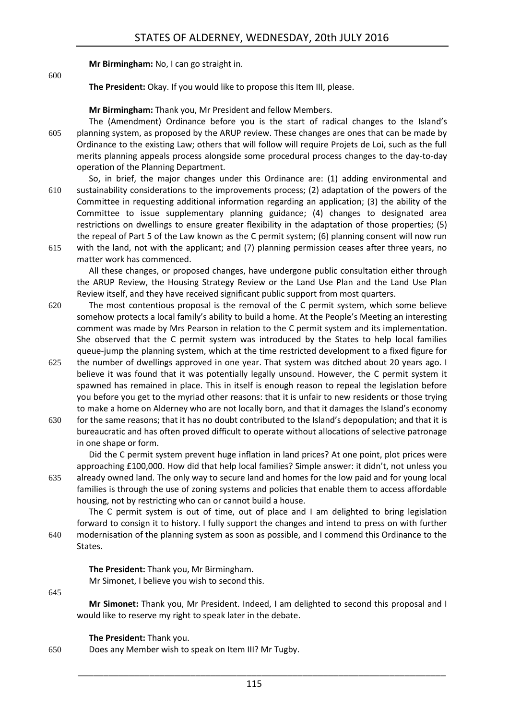**Mr Birmingham:** No, I can go straight in.

**The President:** Okay. If you would like to propose this Item III, please.

**Mr Birmingham:** Thank you, Mr President and fellow Members.

The (Amendment) Ordinance before you is the start of radical changes to the Island's 605 planning system, as proposed by the ARUP review. These changes are ones that can be made by Ordinance to the existing Law; others that will follow will require Projets de Loi, such as the full merits planning appeals process alongside some procedural process changes to the day-to-day operation of the Planning Department.

So, in brief, the major changes under this Ordinance are: (1) adding environmental and 610 sustainability considerations to the improvements process; (2) adaptation of the powers of the Committee in requesting additional information regarding an application; (3) the ability of the Committee to issue supplementary planning guidance; (4) changes to designated area restrictions on dwellings to ensure greater flexibility in the adaptation of those properties; (5) the repeal of Part 5 of the Law known as the C permit system; (6) planning consent will now run

615 with the land, not with the applicant; and (7) planning permission ceases after three years, no matter work has commenced.

All these changes, or proposed changes, have undergone public consultation either through the ARUP Review, the Housing Strategy Review or the Land Use Plan and the Land Use Plan Review itself, and they have received significant public support from most quarters.

- 620 The most contentious proposal is the removal of the C permit system, which some believe somehow protects a local family's ability to build a home. At the People's Meeting an interesting comment was made by Mrs Pearson in relation to the C permit system and its implementation. She observed that the C permit system was introduced by the States to help local families queue-jump the planning system, which at the time restricted development to a fixed figure for
- 625 the number of dwellings approved in one year. That system was ditched about 20 years ago. I believe it was found that it was potentially legally unsound. However, the C permit system it spawned has remained in place. This in itself is enough reason to repeal the legislation before you before you get to the myriad other reasons: that it is unfair to new residents or those trying to make a home on Alderney who are not locally born, and that it damages the Island's economy
- 630 for the same reasons; that it has no doubt contributed to the Island's depopulation; and that it is bureaucratic and has often proved difficult to operate without allocations of selective patronage in one shape or form.

Did the C permit system prevent huge inflation in land prices? At one point, plot prices were approaching £100,000. How did that help local families? Simple answer: it didn't, not unless you 635 already owned land. The only way to secure land and homes for the low paid and for young local families is through the use of zoning systems and policies that enable them to access affordable

housing, not by restricting who can or cannot build a house. The C permit system is out of time, out of place and I am delighted to bring legislation forward to consign it to history. I fully support the changes and intend to press on with further 640 modernisation of the planning system as soon as possible, and I commend this Ordinance to the States.

**The President:** Thank you, Mr Birmingham. Mr Simonet, I believe you wish to second this.

645

600

**Mr Simonet:** Thank you, Mr President. Indeed, I am delighted to second this proposal and I would like to reserve my right to speak later in the debate.

#### **The President:** Thank you.

650 Does any Member wish to speak on Item III? Mr Tugby.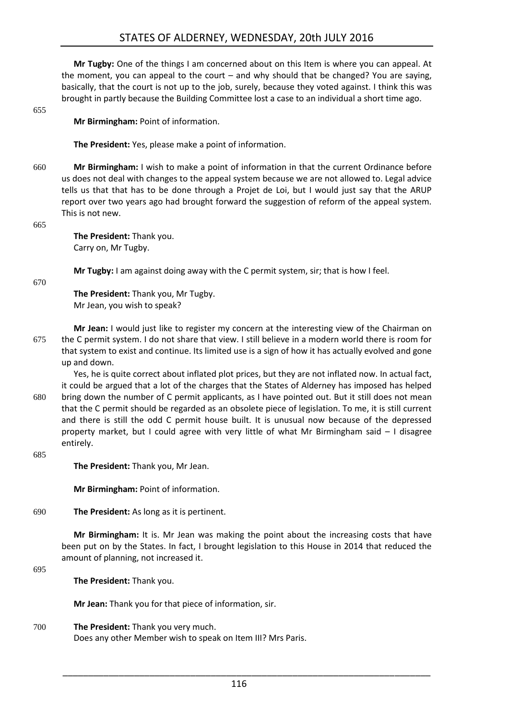**Mr Tugby:** One of the things I am concerned about on this Item is where you can appeal. At the moment, you can appeal to the court – and why should that be changed? You are saying, basically, that the court is not up to the job, surely, because they voted against. I think this was brought in partly because the Building Committee lost a case to an individual a short time ago.

655

**Mr Birmingham:** Point of information.

**The President:** Yes, please make a point of information.

660 **Mr Birmingham:** I wish to make a point of information in that the current Ordinance before us does not deal with changes to the appeal system because we are not allowed to. Legal advice tells us that that has to be done through a Projet de Loi, but I would just say that the ARUP report over two years ago had brought forward the suggestion of reform of the appeal system. This is not new.

665

**The President:** Thank you. Carry on, Mr Tugby.

**Mr Tugby:** I am against doing away with the C permit system, sir; that is how I feel.

670

**The President:** Thank you, Mr Tugby. Mr Jean, you wish to speak?

**Mr Jean:** I would just like to register my concern at the interesting view of the Chairman on 675 the C permit system. I do not share that view. I still believe in a modern world there is room for that system to exist and continue. Its limited use is a sign of how it has actually evolved and gone up and down.

Yes, he is quite correct about inflated plot prices, but they are not inflated now. In actual fact, it could be argued that a lot of the charges that the States of Alderney has imposed has helped 680 bring down the number of C permit applicants, as I have pointed out. But it still does not mean that the C permit should be regarded as an obsolete piece of legislation. To me, it is still current and there is still the odd C permit house built. It is unusual now because of the depressed property market, but I could agree with very little of what Mr Birmingham said – I disagree entirely.

685

**The President:** Thank you, Mr Jean.

**Mr Birmingham:** Point of information.

690 **The President:** As long as it is pertinent.

**Mr Birmingham:** It is. Mr Jean was making the point about the increasing costs that have been put on by the States. In fact, I brought legislation to this House in 2014 that reduced the amount of planning, not increased it.

695

**The President:** Thank you.

**Mr Jean:** Thank you for that piece of information, sir.

700 **The President:** Thank you very much. Does any other Member wish to speak on Item III? Mrs Paris.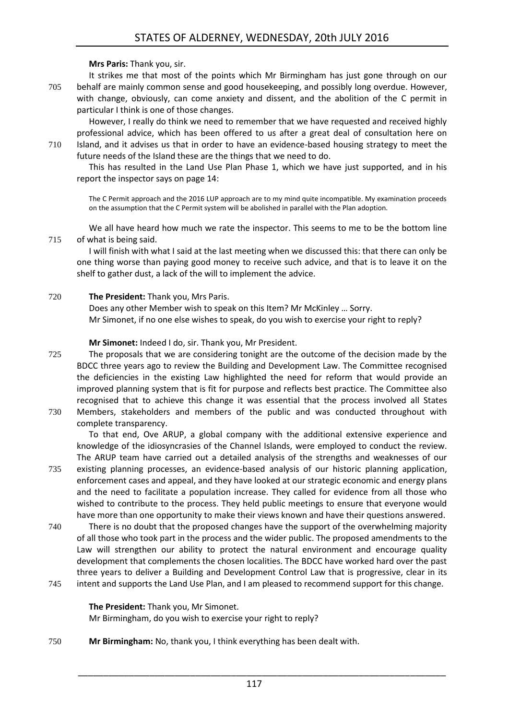#### **Mrs Paris:** Thank you, sir.

It strikes me that most of the points which Mr Birmingham has just gone through on our 705 behalf are mainly common sense and good housekeeping, and possibly long overdue. However, with change, obviously, can come anxiety and dissent, and the abolition of the C permit in particular I think is one of those changes.

However, I really do think we need to remember that we have requested and received highly professional advice, which has been offered to us after a great deal of consultation here on 710 Island, and it advises us that in order to have an evidence-based housing strategy to meet the future needs of the Island these are the things that we need to do.

This has resulted in the Land Use Plan Phase 1, which we have just supported, and in his report the inspector says on page 14:

The C Permit approach and the 2016 LUP approach are to my mind quite incompatible. My examination proceeds on the assumption that the C Permit system will be abolished in parallel with the Plan adoption.

We all have heard how much we rate the inspector. This seems to me to be the bottom line 715 of what is being said.

I will finish with what I said at the last meeting when we discussed this: that there can only be one thing worse than paying good money to receive such advice, and that is to leave it on the shelf to gather dust, a lack of the will to implement the advice.

#### 720 **The President:** Thank you, Mrs Paris.

Does any other Member wish to speak on this Item? Mr McKinley … Sorry. Mr Simonet, if no one else wishes to speak, do you wish to exercise your right to reply?

**Mr Simonet:** Indeed I do, sir. Thank you, Mr President.

- 725 The proposals that we are considering tonight are the outcome of the decision made by the BDCC three years ago to review the Building and Development Law. The Committee recognised the deficiencies in the existing Law highlighted the need for reform that would provide an improved planning system that is fit for purpose and reflects best practice. The Committee also recognised that to achieve this change it was essential that the process involved all States 730 Members, stakeholders and members of the public and was conducted throughout with
	- complete transparency.

To that end, Ove ARUP, a global company with the additional extensive experience and knowledge of the idiosyncrasies of the Channel Islands, were employed to conduct the review. The ARUP team have carried out a detailed analysis of the strengths and weaknesses of our

- 735 existing planning processes, an evidence-based analysis of our historic planning application, enforcement cases and appeal, and they have looked at our strategic economic and energy plans and the need to facilitate a population increase. They called for evidence from all those who wished to contribute to the process. They held public meetings to ensure that everyone would have more than one opportunity to make their views known and have their questions answered.
- 740 There is no doubt that the proposed changes have the support of the overwhelming majority of all those who took part in the process and the wider public. The proposed amendments to the Law will strengthen our ability to protect the natural environment and encourage quality development that complements the chosen localities. The BDCC have worked hard over the past three years to deliver a Building and Development Control Law that is progressive, clear in its
- 745 intent and supports the Land Use Plan, and I am pleased to recommend support for this change.

**The President:** Thank you, Mr Simonet. Mr Birmingham, do you wish to exercise your right to reply?

750 **Mr Birmingham:** No, thank you, I think everything has been dealt with.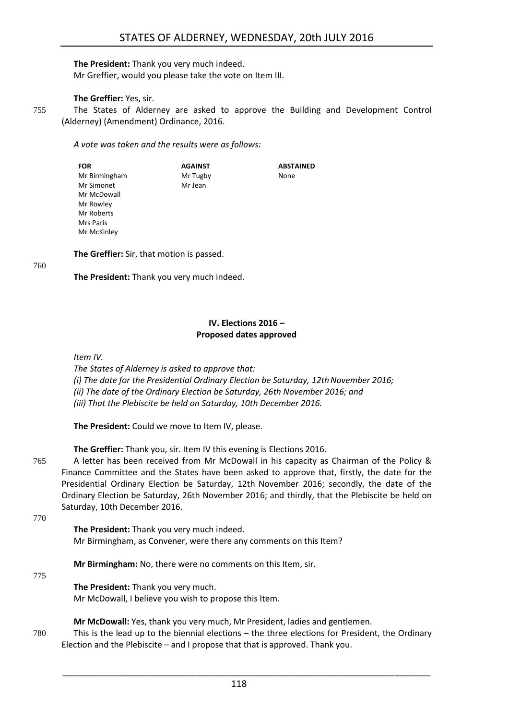**The President:** Thank you very much indeed. Mr Greffier, would you please take the vote on Item III.

#### **The Greffier:** Yes, sir.

755 The States of Alderney are asked to approve the Building and Development Control (Alderney) (Amendment) Ordinance, 2016.

*A vote was taken and the results were as follows:*

**FOR** Mr Birmingham Mr Simonet Mr McDowall Mr Rowley Mr Roberts Mrs Paris Mr McKinley

Mr Tugby Mr Jean

**AGAINST**

**ABSTAINED** None

**The Greffier:** Sir, that motion is passed.

#### 760

**The President:** Thank you very much indeed.

#### **IV. Elections 2016 – Proposed dates approved**

<span id="page-19-0"></span>*Item IV.*

*The States of Alderney is asked to approve that: (i) The date for the Presidential Ordinary Election be Saturday, 12th November 2016; (ii) The date of the Ordinary Election be Saturday, 26th November 2016; and (iii) That the Plebiscite be held on Saturday, 10th December 2016.* 

**The President:** Could we move to Item IV, please.

**The Greffier:** Thank you, sir. Item IV this evening is Elections 2016.

765 A letter has been received from Mr McDowall in his capacity as Chairman of the Policy & Finance Committee and the States have been asked to approve that, firstly, the date for the Presidential Ordinary Election be Saturday, 12th November 2016; secondly, the date of the Ordinary Election be Saturday, 26th November 2016; and thirdly, that the Plebiscite be held on Saturday, 10th December 2016.

770

**The President:** Thank you very much indeed. Mr Birmingham, as Convener, were there any comments on this Item?

**Mr Birmingham:** No, there were no comments on this Item, sir.

775

**The President:** Thank you very much. Mr McDowall, I believe you wish to propose this Item.

**Mr McDowall:** Yes, thank you very much, Mr President, ladies and gentlemen.

780 This is the lead up to the biennial elections – the three elections for President, the Ordinary Election and the Plebiscite – and I propose that that is approved. Thank you.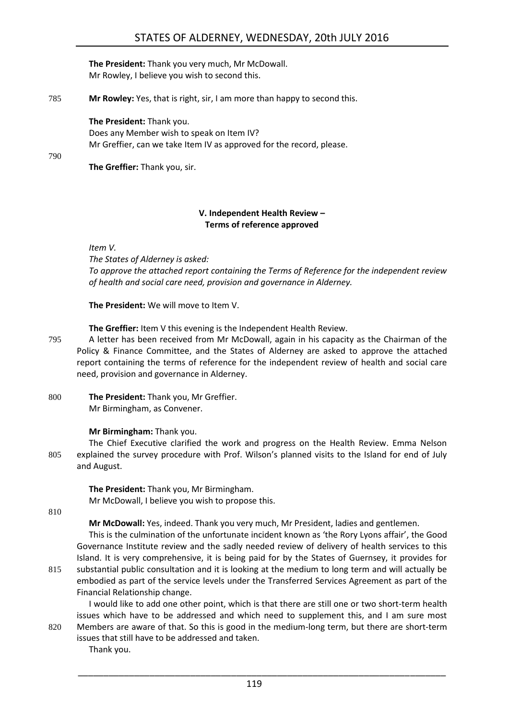**The President:** Thank you very much, Mr McDowall. Mr Rowley, I believe you wish to second this.

785 **Mr Rowley:** Yes, that is right, sir, I am more than happy to second this.

**The President:** Thank you. Does any Member wish to speak on Item IV? Mr Greffier, can we take Item IV as approved for the record, please.

790

**The Greffier:** Thank you, sir.

### **V. Independent Health Review – Terms of reference approved**

<span id="page-20-0"></span>*Item V.*

*The States of Alderney is asked:*

*To approve the attached report containing the Terms of Reference for the independent review of health and social care need, provision and governance in Alderney.*

**The President:** We will move to Item V.

**The Greffier:** Item V this evening is the Independent Health Review.

- 795 A letter has been received from Mr McDowall, again in his capacity as the Chairman of the Policy & Finance Committee, and the States of Alderney are asked to approve the attached report containing the terms of reference for the independent review of health and social care need, provision and governance in Alderney.
- 800 **The President:** Thank you, Mr Greffier. Mr Birmingham, as Convener.

**Mr Birmingham:** Thank you.

The Chief Executive clarified the work and progress on the Health Review. Emma Nelson 805 explained the survey procedure with Prof. Wilson's planned visits to the Island for end of July and August.

**The President:** Thank you, Mr Birmingham. Mr McDowall, I believe you wish to propose this.

810

**Mr McDowall:** Yes, indeed. Thank you very much, Mr President, ladies and gentlemen.

This is the culmination of the unfortunate incident known as 'the Rory Lyons affair', the Good Governance Institute review and the sadly needed review of delivery of health services to this Island. It is very comprehensive, it is being paid for by the States of Guernsey, it provides for

815 substantial public consultation and it is looking at the medium to long term and will actually be embodied as part of the service levels under the Transferred Services Agreement as part of the Financial Relationship change.

I would like to add one other point, which is that there are still one or two short-term health issues which have to be addressed and which need to supplement this, and I am sure most 820 Members are aware of that. So this is good in the medium-long term, but there are short-term

issues that still have to be addressed and taken. Thank you.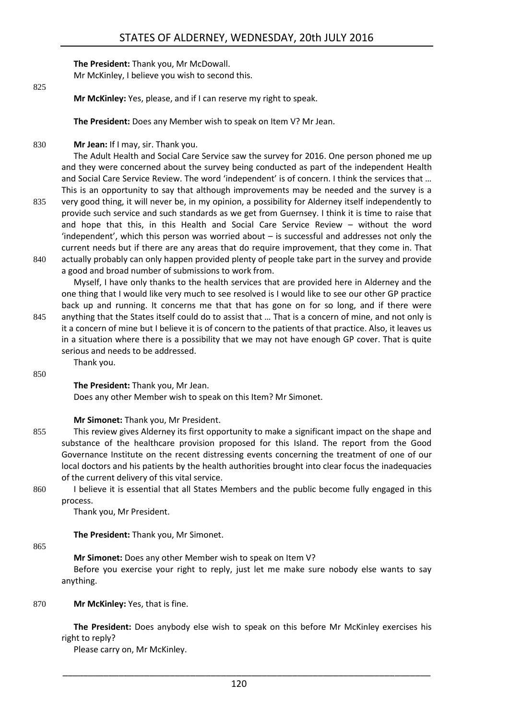**The President:** Thank you, Mr McDowall.

Mr McKinley, I believe you wish to second this.

825

**Mr McKinley:** Yes, please, and if I can reserve my right to speak.

**The President:** Does any Member wish to speak on Item V? Mr Jean.

830 **Mr Jean:** If I may, sir. Thank you.

The Adult Health and Social Care Service saw the survey for 2016. One person phoned me up and they were concerned about the survey being conducted as part of the independent Health and Social Care Service Review. The word 'independent' is of concern. I think the services that ... This is an opportunity to say that although improvements may be needed and the survey is a

- 835 very good thing, it will never be, in my opinion, a possibility for Alderney itself independently to provide such service and such standards as we get from Guernsey. I think it is time to raise that and hope that this, in this Health and Social Care Service Review – without the word 'independent', which this person was worried about – is successful and addresses not only the current needs but if there are any areas that do require improvement, that they come in. That 840 actually probably can only happen provided plenty of people take part in the survey and provide
- a good and broad number of submissions to work from. Myself, I have only thanks to the health services that are provided here in Alderney and the

one thing that I would like very much to see resolved is I would like to see our other GP practice back up and running. It concerns me that that has gone on for so long, and if there were 845 anything that the States itself could do to assist that … That is a concern of mine, and not only is it a concern of mine but I believe it is of concern to the patients of that practice. Also, it leaves us in a situation where there is a possibility that we may not have enough GP cover. That is quite serious and needs to be addressed.

### 850

**The President:** Thank you, Mr Jean.

Thank you.

Does any other Member wish to speak on this Item? Mr Simonet.

**Mr Simonet:** Thank you, Mr President.

- 855 This review gives Alderney its first opportunity to make a significant impact on the shape and substance of the healthcare provision proposed for this Island. The report from the Good Governance Institute on the recent distressing events concerning the treatment of one of our local doctors and his patients by the health authorities brought into clear focus the inadequacies of the current delivery of this vital service.
- 860 I believe it is essential that all States Members and the public become fully engaged in this process.

Thank you, Mr President.

**The President:** Thank you, Mr Simonet.

#### 865

**Mr Simonet:** Does any other Member wish to speak on Item V?

Before you exercise your right to reply, just let me make sure nobody else wants to say anything.

#### 870 **Mr McKinley:** Yes, that is fine.

**The President:** Does anybody else wish to speak on this before Mr McKinley exercises his right to reply?

Please carry on, Mr McKinley.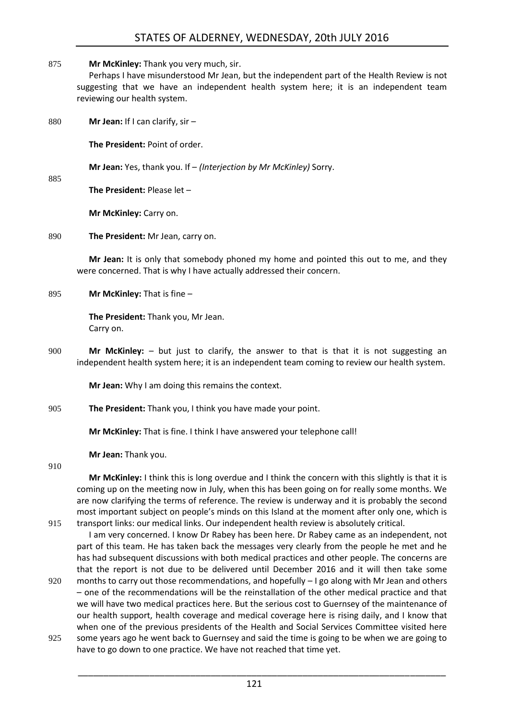#### 875 **Mr McKinley:** Thank you very much, sir.

Perhaps I have misunderstood Mr Jean, but the independent part of the Health Review is not suggesting that we have an independent health system here; it is an independent team reviewing our health system.

880 **Mr Jean:** If I can clarify, sir –

**The President:** Point of order.

**Mr Jean:** Yes, thank you. If – *(Interjection by Mr McKinley)* Sorry.

885

**The President:** Please let –

**Mr McKinley:** Carry on.

890 **The President:** Mr Jean, carry on.

**Mr Jean:** It is only that somebody phoned my home and pointed this out to me, and they were concerned. That is why I have actually addressed their concern.

895 **Mr McKinley:** That is fine –

**The President:** Thank you, Mr Jean. Carry on.

900 **Mr McKinley:** – but just to clarify, the answer to that is that it is not suggesting an independent health system here; it is an independent team coming to review our health system.

**Mr Jean:** Why I am doing this remains the context.

905 **The President:** Thank you, I think you have made your point.

**Mr McKinley:** That is fine. I think I have answered your telephone call!

**Mr Jean:** Thank you.

910

**Mr McKinley:** I think this is long overdue and I think the concern with this slightly is that it is coming up on the meeting now in July, when this has been going on for really some months. We are now clarifying the terms of reference. The review is underway and it is probably the second most important subject on people's minds on this Island at the moment after only one, which is 915 transport links: our medical links. Our independent health review is absolutely critical.

I am very concerned. I know Dr Rabey has been here. Dr Rabey came as an independent, not part of this team. He has taken back the messages very clearly from the people he met and he has had subsequent discussions with both medical practices and other people. The concerns are that the report is not due to be delivered until December 2016 and it will then take some

- 920 months to carry out those recommendations, and hopefully I go along with Mr Jean and others – one of the recommendations will be the reinstallation of the other medical practice and that we will have two medical practices here. But the serious cost to Guernsey of the maintenance of our health support, health coverage and medical coverage here is rising daily, and I know that when one of the previous presidents of the Health and Social Services Committee visited here
- 925 some years ago he went back to Guernsey and said the time is going to be when we are going to have to go down to one practice. We have not reached that time yet.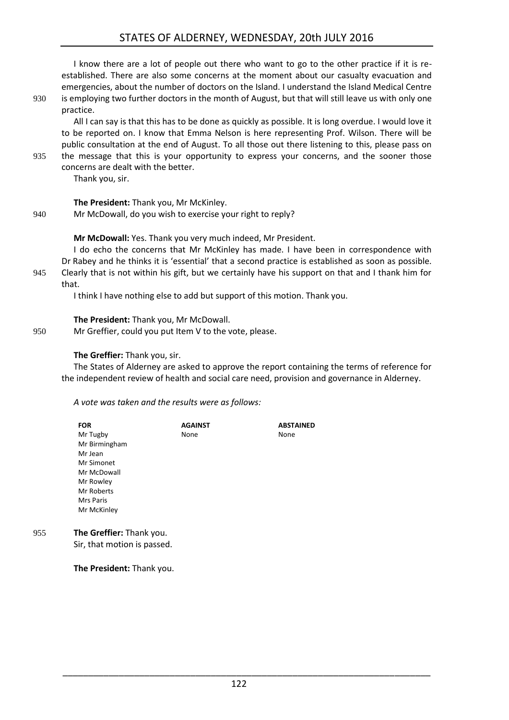I know there are a lot of people out there who want to go to the other practice if it is reestablished. There are also some concerns at the moment about our casualty evacuation and emergencies, about the number of doctors on the Island. I understand the Island Medical Centre 930 is employing two further doctors in the month of August, but that will still leave us with only one practice.

All I can say is that this has to be done as quickly as possible. It is long overdue. I would love it to be reported on. I know that Emma Nelson is here representing Prof. Wilson. There will be public consultation at the end of August. To all those out there listening to this, please pass on 935 the message that this is your opportunity to express your concerns, and the sooner those

concerns are dealt with the better.

Thank you, sir.

**The President:** Thank you, Mr McKinley.

940 Mr McDowall, do you wish to exercise your right to reply?

**Mr McDowall:** Yes. Thank you very much indeed, Mr President.

I do echo the concerns that Mr McKinley has made. I have been in correspondence with Dr Rabey and he thinks it is 'essential' that a second practice is established as soon as possible. 945 Clearly that is not within his gift, but we certainly have his support on that and I thank him for that.

I think I have nothing else to add but support of this motion. Thank you.

**The President:** Thank you, Mr McDowall.

950 Mr Greffier, could you put Item V to the vote, please.

# **The Greffier:** Thank you, sir.

The States of Alderney are asked to approve the report containing the terms of reference for the independent review of health and social care need, provision and governance in Alderney.

*A vote was taken and the results were as follows:*

|     | <b>FOR</b>                  | <b>AGAINST</b> | <b>ABSTAINED</b> |
|-----|-----------------------------|----------------|------------------|
|     | Mr Tugby                    | None           | None             |
|     | Mr Birmingham               |                |                  |
|     | Mr Jean                     |                |                  |
|     | Mr Simonet                  |                |                  |
|     | Mr McDowall                 |                |                  |
|     | Mr Rowley                   |                |                  |
|     | Mr Roberts                  |                |                  |
|     | Mrs Paris                   |                |                  |
|     | Mr McKinley                 |                |                  |
| 955 | The Greffier: Thank you.    |                |                  |
|     | Sir, that motion is passed. |                |                  |

**The President:** Thank you.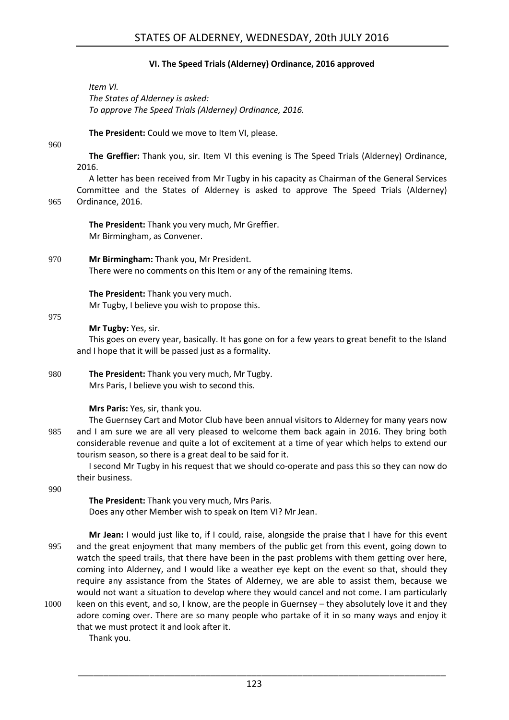#### **VI. The Speed Trials (Alderney) Ordinance, 2016 approved**

<span id="page-24-0"></span>*Item VI. The States of Alderney is asked: To approve The Speed Trials (Alderney) Ordinance, 2016.*

**The President:** Could we move to Item VI, please.

#### 960

**The Greffier:** Thank you, sir. Item VI this evening is The Speed Trials (Alderney) Ordinance, 2016.

A letter has been received from Mr Tugby in his capacity as Chairman of the General Services Committee and the States of Alderney is asked to approve The Speed Trials (Alderney) 965 Ordinance, 2016.

**The President:** Thank you very much, Mr Greffier. Mr Birmingham, as Convener.

970 **Mr Birmingham:** Thank you, Mr President. There were no comments on this Item or any of the remaining Items.

> **The President:** Thank you very much. Mr Tugby, I believe you wish to propose this.

975

#### **Mr Tugby:** Yes, sir.

This goes on every year, basically. It has gone on for a few years to great benefit to the Island and I hope that it will be passed just as a formality.

980 **The President:** Thank you very much, Mr Tugby. Mrs Paris, I believe you wish to second this.

#### **Mrs Paris:** Yes, sir, thank you.

The Guernsey Cart and Motor Club have been annual visitors to Alderney for many years now 985 and I am sure we are all very pleased to welcome them back again in 2016. They bring both considerable revenue and quite a lot of excitement at a time of year which helps to extend our tourism season, so there is a great deal to be said for it.

I second Mr Tugby in his request that we should co-operate and pass this so they can now do their business.

990

**The President:** Thank you very much, Mrs Paris. Does any other Member wish to speak on Item VI? Mr Jean.

**Mr Jean:** I would just like to, if I could, raise, alongside the praise that I have for this event 995 and the great enjoyment that many members of the public get from this event, going down to watch the speed trails, that there have been in the past problems with them getting over here, coming into Alderney, and I would like a weather eye kept on the event so that, should they require any assistance from the States of Alderney, we are able to assist them, because we would not want a situation to develop where they would cancel and not come. I am particularly 1000 keen on this event, and so, I know, are the people in Guernsey – they absolutely love it and they adore coming over. There are so many people who partake of it in so many ways and enjoy it that we must protect it and look after it.

Thank you.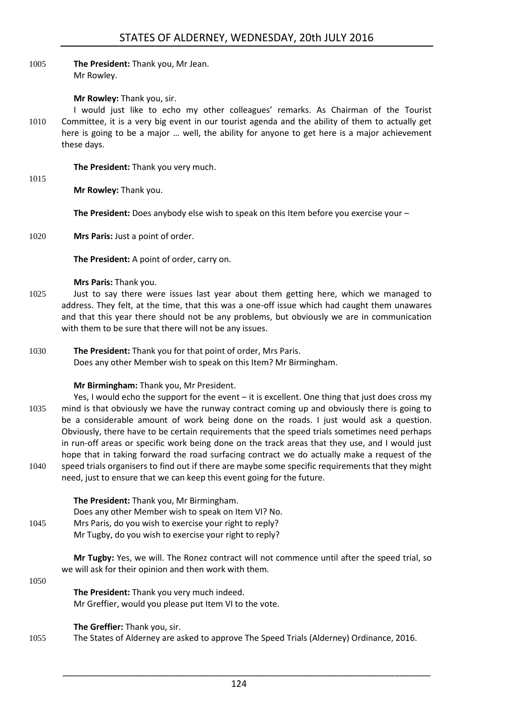1005 **The President:** Thank you, Mr Jean. Mr Rowley.

#### **Mr Rowley:** Thank you, sir.

I would just like to echo my other colleagues' remarks. As Chairman of the Tourist 1010 Committee, it is a very big event in our tourist agenda and the ability of them to actually get here is going to be a major … well, the ability for anyone to get here is a major achievement these days.

**The President:** Thank you very much.

#### 1015

**Mr Rowley:** Thank you.

**The President:** Does anybody else wish to speak on this Item before you exercise your –

1020 **Mrs Paris:** Just a point of order.

**The President:** A point of order, carry on.

#### **Mrs Paris:** Thank you.

- 1025 Just to say there were issues last year about them getting here, which we managed to address. They felt, at the time, that this was a one-off issue which had caught them unawares and that this year there should not be any problems, but obviously we are in communication with them to be sure that there will not be any issues.
- 1030 **The President:** Thank you for that point of order, Mrs Paris. Does any other Member wish to speak on this Item? Mr Birmingham.

#### **Mr Birmingham:** Thank you, Mr President.

Yes, I would echo the support for the event – it is excellent. One thing that just does cross my 1035 mind is that obviously we have the runway contract coming up and obviously there is going to be a considerable amount of work being done on the roads. I just would ask a question. Obviously, there have to be certain requirements that the speed trials sometimes need perhaps in run-off areas or specific work being done on the track areas that they use, and I would just hope that in taking forward the road surfacing contract we do actually make a request of the 1040 speed trials organisers to find out if there are maybe some specific requirements that they might need, just to ensure that we can keep this event going for the future.

**The President:** Thank you, Mr Birmingham. Does any other Member wish to speak on Item VI? No. 1045 Mrs Paris, do you wish to exercise your right to reply? Mr Tugby, do you wish to exercise your right to reply?

> **Mr Tugby:** Yes, we will. The Ronez contract will not commence until after the speed trial, so we will ask for their opinion and then work with them.

1050

**The President:** Thank you very much indeed. Mr Greffier, would you please put Item VI to the vote.

**The Greffier:** Thank you, sir.

1055 The States of Alderney are asked to approve The Speed Trials (Alderney) Ordinance, 2016.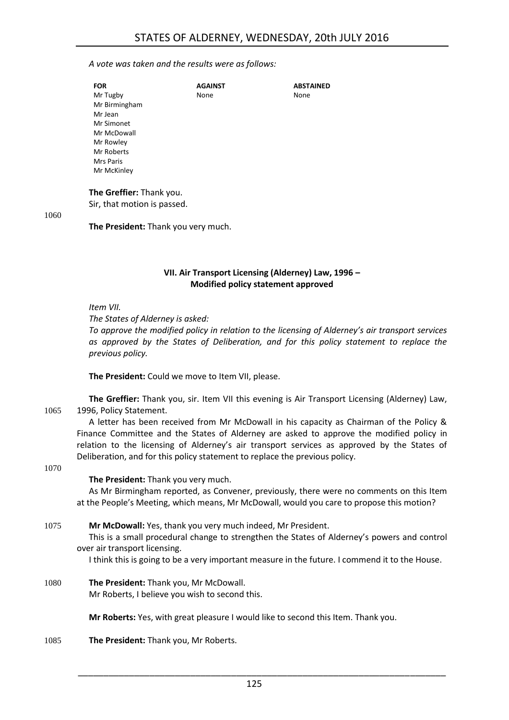#### *A vote was taken and the results were as follows:*

| <b>FOR</b>               | <b>AGAINST</b> | <b>ABSTAINED</b> |  |  |
|--------------------------|----------------|------------------|--|--|
| Mr Tugby                 | None           | None             |  |  |
| Mr Birmingham            |                |                  |  |  |
| Mr Jean                  |                |                  |  |  |
| Mr Simonet               |                |                  |  |  |
| Mr McDowall              |                |                  |  |  |
| Mr Rowley                |                |                  |  |  |
| Mr Roberts               |                |                  |  |  |
| Mrs Paris                |                |                  |  |  |
| Mr McKinley              |                |                  |  |  |
|                          |                |                  |  |  |
| The Greffier: Thank you. |                |                  |  |  |

Sir, that motion is passed.

1060

**The President:** Thank you very much.

#### **VII. Air Transport Licensing (Alderney) Law, 1996 – Modified policy statement approved**

<span id="page-26-0"></span>*Item VII.*

*The States of Alderney is asked:*

*To approve the modified policy in relation to the licensing of Alderney's air transport services as approved by the States of Deliberation, and for this policy statement to replace the previous policy.*

**The President:** Could we move to Item VII, please.

**The Greffier:** Thank you, sir. Item VII this evening is Air Transport Licensing (Alderney) Law, 1065 1996, Policy Statement.

A letter has been received from Mr McDowall in his capacity as Chairman of the Policy & Finance Committee and the States of Alderney are asked to approve the modified policy in relation to the licensing of Alderney's air transport services as approved by the States of Deliberation, and for this policy statement to replace the previous policy.

1070

#### **The President:** Thank you very much.

As Mr Birmingham reported, as Convener, previously, there were no comments on this Item at the People's Meeting, which means, Mr McDowall, would you care to propose this motion?

1075 **Mr McDowall:** Yes, thank you very much indeed, Mr President.

This is a small procedural change to strengthen the States of Alderney's powers and control over air transport licensing.

I think this is going to be a very important measure in the future. I commend it to the House.

1080 **The President:** Thank you, Mr McDowall. Mr Roberts, I believe you wish to second this.

**Mr Roberts:** Yes, with great pleasure I would like to second this Item. Thank you.

1085 **The President:** Thank you, Mr Roberts.